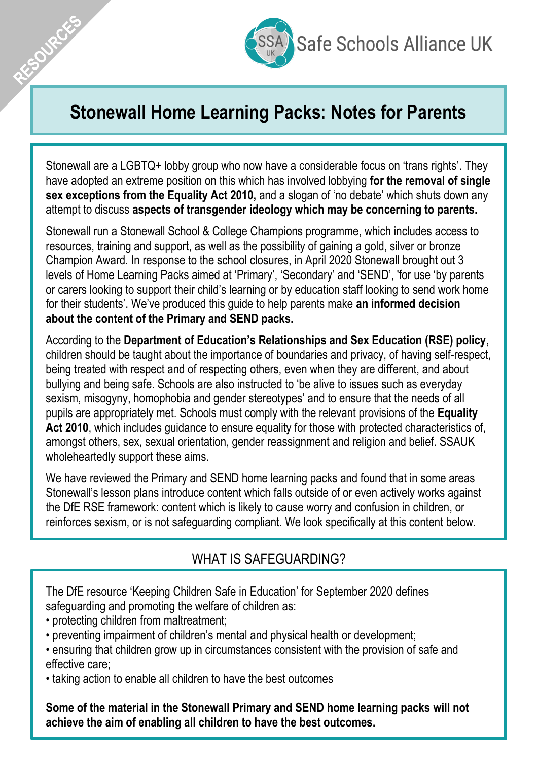

# **Stonewall Home Learning Packs: Notes for Parents**

Stonewall are a LGBTQ+ lobby group who now have a considerable focus on 'trans rights'. They have adopted an extreme position on this which has involved lobbying **for the removal of single**  sex exceptions from the Equality Act 2010, and a slogan of 'no debate' which shuts down any attempt to discuss **aspects of transgender ideology which may be concerning to parents.**

Stonewall run a Stonewall School & College Champions programme, which includes access to resources, training and support, as well as the possibility of gaining a gold, silver or bronze Champion Award. In response to the school closures, in April 2020 Stonewall brought out 3 levels of Home Learning Packs aimed at 'Primary', 'Secondary' and 'SEND', 'for use 'by parents or carers looking to support their child's learning or by education staff looking to send work home for their students'. We've produced this guide to help parents make **an informed decision about the content of the Primary and SEND packs.** 

According to the **Department of Education's Relationships and Sex Education (RSE) policy**, children should be taught about the importance of boundaries and privacy, of having self-respect, being treated with respect and of respecting others, even when they are different, and about bullying and being safe. Schools are also instructed to 'be alive to issues such as everyday sexism, misogyny, homophobia and gender stereotypes' and to ensure that the needs of all pupils are appropriately met. Schools must comply with the relevant provisions of the **Equality Act 2010**, which includes guidance to ensure equality for those with protected characteristics of, amongst others, sex, sexual orientation, gender reassignment and religion and belief. SSAUK wholeheartedly support these aims.

We have reviewed the Primary and SEND home learning packs and found that in some areas Stonewall's lesson plans introduce content which falls outside of or even actively works against the DfE RSE framework: content which is likely to cause worry and confusion in children, or reinforces sexism, or is not safeguarding compliant. We look specifically at this content below.

## WHAT IS SAFEGUARDING?

The DfE resource 'Keeping Children Safe in Education' for September 2020 defines safeguarding and promoting the welfare of children as:

• protecting children from maltreatment;

AESOURCES

- preventing impairment of children's mental and physical health or development;
- ensuring that children grow up in circumstances consistent with the provision of safe and effective care;
- taking action to enable all children to have the best outcomes

**Some of the material in the Stonewall Primary and SEND home learning packs will not achieve the aim of enabling all children to have the best outcomes.**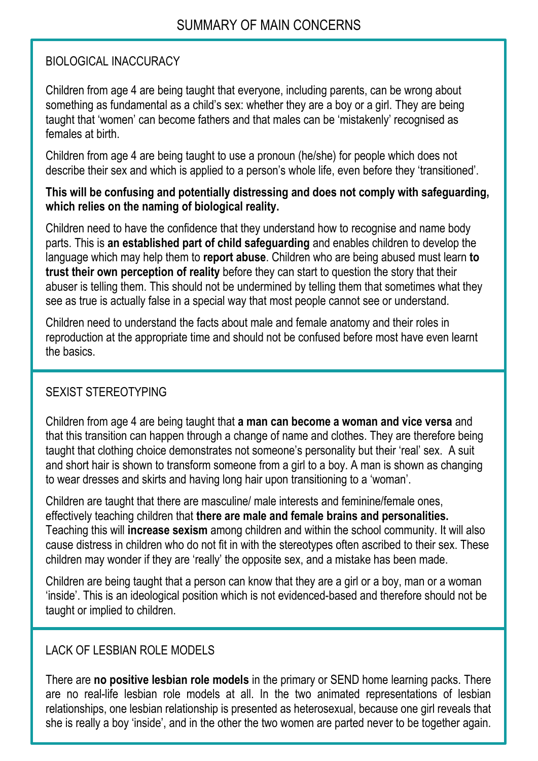#### BIOLOGICAL INACCURACY

Children from age 4 are being taught that everyone, including parents, can be wrong about something as fundamental as a child's sex: whether they are a boy or a girl. They are being taught that 'women' can become fathers and that males can be 'mistakenly' recognised as females at birth.

Children from age 4 are being taught to use a pronoun (he/she) for people which does not describe their sex and which is applied to a person's whole life, even before they 'transitioned'.

#### **This will be confusing and potentially distressing and does not comply with safeguarding, which relies on the naming of biological reality.**

Children need to have the confidence that they understand how to recognise and name body parts. This is **an established part of child safeguarding** and enables children to develop the language which may help them to **report abuse**. Children who are being abused must learn **to trust their own perception of reality** before they can start to question the story that their abuser is telling them. This should not be undermined by telling them that sometimes what they see as true is actually false in a special way that most people cannot see or understand.

Children need to understand the facts about male and female anatomy and their roles in reproduction at the appropriate time and should not be confused before most have even learnt the basics.

## SEXIST STEREOTYPING

Children from age 4 are being taught that **a man can become a woman and vice versa** and that this transition can happen through a change of name and clothes. They are therefore being taught that clothing choice demonstrates not someone's personality but their 'real' sex. A suit and short hair is shown to transform someone from a girl to a boy. A man is shown as changing to wear dresses and skirts and having long hair upon transitioning to a 'woman'.

Children are taught that there are masculine/ male interests and feminine/female ones, effectively teaching children that **there are male and female brains and personalities.**  Teaching this will **increase sexism** among children and within the school community. It will also cause distress in children who do not fit in with the stereotypes often ascribed to their sex. These children may wonder if they are 'really' the opposite sex, and a mistake has been made.

Children are being taught that a person can know that they are a girl or a boy, man or a woman 'inside'. This is an ideological position which is not evidenced-based and therefore should not be taught or implied to children.

## LACK OF LESBIAN ROLE MODELS

There are **no positive lesbian role models** in the primary or SEND home learning packs. There are no real-life lesbian role models at all. In the two animated representations of lesbian relationships, one lesbian relationship is presented as heterosexual, because one girl reveals that she is really a boy 'inside', and in the other the two women are parted never to be together again.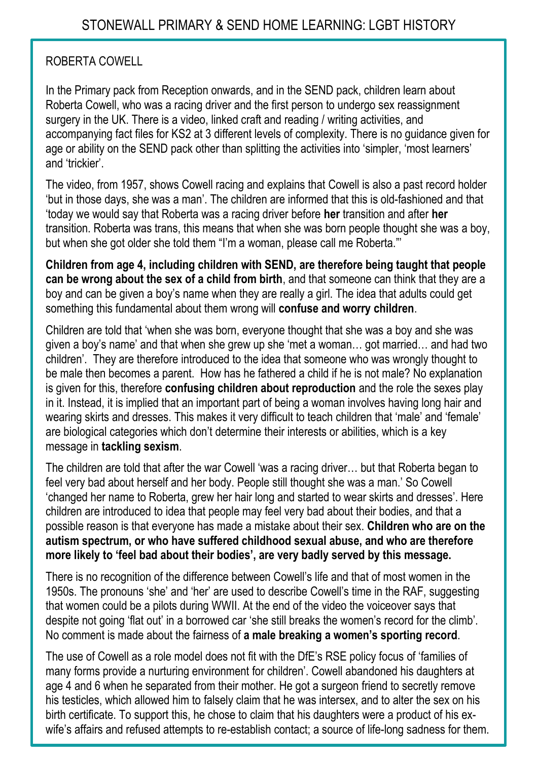#### ROBERTA COWELL

In the Primary pack from Reception onwards, and in the SEND pack, children learn about Roberta Cowell, who was a racing driver and the first person to undergo sex reassignment surgery in the UK. There is a video, linked craft and reading / writing activities, and accompanying fact files for KS2 at 3 different levels of complexity. There is no guidance given for age or ability on the SEND pack other than splitting the activities into 'simpler, 'most learners' and 'trickier'.

The video, from 1957, shows Cowell racing and explains that Cowell is also a past record holder 'but in those days, she was a man'. The children are informed that this is old-fashioned and that 'today we would say that Roberta was a racing driver before **her** transition and after **her** transition. Roberta was trans, this means that when she was born people thought she was a boy, but when she got older she told them "I'm a woman, please call me Roberta."'

**Children from age 4, including children with SEND, are therefore being taught that people can be wrong about the sex of a child from birth**, and that someone can think that they are a boy and can be given a boy's name when they are really a girl. The idea that adults could get something this fundamental about them wrong will **confuse and worry children**.

Children are told that 'when she was born, everyone thought that she was a boy and she was given a boy's name' and that when she grew up she 'met a woman… got married… and had two children'. They are therefore introduced to the idea that someone who was wrongly thought to be male then becomes a parent. How has he fathered a child if he is not male? No explanation is given for this, therefore **confusing children about reproduction** and the role the sexes play in it. Instead, it is implied that an important part of being a woman involves having long hair and wearing skirts and dresses. This makes it very difficult to teach children that 'male' and 'female' are biological categories which don't determine their interests or abilities, which is a key message in **tackling sexism**.

The children are told that after the war Cowell 'was a racing driver… but that Roberta began to feel very bad about herself and her body. People still thought she was a man.' So Cowell 'changed her name to Roberta, grew her hair long and started to wear skirts and dresses'. Here children are introduced to idea that people may feel very bad about their bodies, and that a possible reason is that everyone has made a mistake about their sex. **Children who are on the autism spectrum, or who have suffered childhood sexual abuse, and who are therefore more likely to 'feel bad about their bodies', are very badly served by this message.**

There is no recognition of the difference between Cowell's life and that of most women in the 1950s. The pronouns 'she' and 'her' are used to describe Cowell's time in the RAF, suggesting that women could be a pilots during WWII. At the end of the video the voiceover says that despite not going 'flat out' in a borrowed car 'she still breaks the women's record for the climb'. No comment is made about the fairness of **a male breaking a women's sporting record**.

The use of Cowell as a role model does not fit with the DfE's RSE policy focus of 'families of many forms provide a nurturing environment for children'. Cowell [abandoned his daughters](https://www.telegraph.co.uk/goodlife/11941341/The-true-story-behind-Britains-first-transsexual-woman.html) at age 4 and 6 when he separated from their mother. He got a surgeon friend to secretly remove his testicles, which allowed him to falsely claim that he was intersex, and to alter the sex on his birth certificate. To support this, he chose to claim that his daughters were a product of his exwife's affairs and refused attempts to re-establish contact; a source of life-long sadness for them.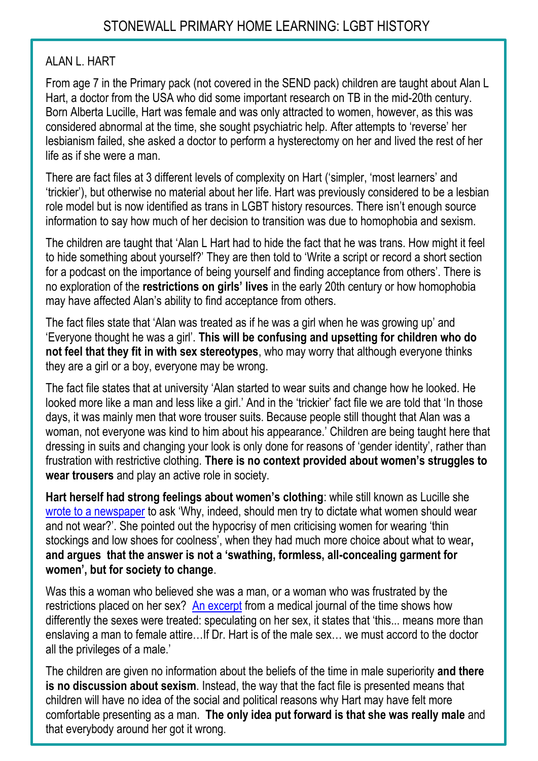#### ALAN L. HART

From age 7 in the Primary pack (not covered in the SEND pack) children are taught about Alan L Hart, a doctor from the USA who did some important research on TB in the mid-20th century. Born Alberta Lucille, Hart was female and was only attracted to women, however, as this was considered abnormal at the time, she sought psychiatric help. After attempts to 'reverse' her lesbianism failed, she asked a doctor to perform a hysterectomy on her and lived the rest of her life as if she were a man.

There are fact files at 3 different levels of complexity on Hart ('simpler, 'most learners' and 'trickier'), but otherwise no material about her life. Hart was previously considered to be a lesbian role model but is now identified as trans in LGBT history resources. There isn't enough source information to say how much of her decision to transition was due to homophobia and sexism.

The children are taught that 'Alan L Hart had to hide the fact that he was trans. How might it feel to hide something about yourself?' They are then told to 'Write a script or record a short section for a podcast on the importance of being yourself and finding acceptance from others'. There is no exploration of the **restrictions on girls' lives** in the early 20th century or how homophobia may have affected Alan's ability to find acceptance from others.

The fact files state that 'Alan was treated as if he was a girl when he was growing up' and 'Everyone thought he was a girl'. **This will be confusing and upsetting for children who do not feel that they fit in with sex stereotypes**, who may worry that although everyone thinks they are a girl or a boy, everyone may be wrong.

The fact file states that at university 'Alan started to wear suits and change how he looked. He looked more like a man and less like a girl.' And in the 'trickier' fact file we are told that 'In those days, it was mainly men that wore trouser suits. Because people still thought that Alan was a woman, not everyone was kind to him about his appearance.' Children are being taught here that dressing in suits and changing your look is only done for reasons of 'gender identity', rather than frustration with restrictive clothing. **There is no context provided about women's struggles to wear trousers** and play an active role in society.

**Hart herself had strong feelings about women's clothing**: while still known as Lucille she [wrote to a newspaper](http://digitalcollections.lclark.edu/items/show/35408) to ask 'Why, indeed, should men try to dictate what women should wear and not wear?'. She pointed out the hypocrisy of men criticising women for wearing 'thin stockings and low shoes for coolness', when they had much more choice about what to wear**, and argues that the answer is not a 'swathing, formless, all-concealing garment for women', but for society to change**.

Was this a woman who believed she was a man, or a woman who was frustrated by the restrictions placed on her sex? [An excerpt](http://digitalcollections.lclark.edu/items/show/35405) from a medical journal of the time shows how differently the sexes were treated: speculating on her sex, it states that 'this... means more than enslaving a man to female attire…If Dr. Hart is of the male sex… we must accord to the doctor all the privileges of a male.'

The children are given no information about the beliefs of the time in male superiority **and there is no discussion about sexism**. Instead, the way that the fact file is presented means that children will have no idea of the social and political reasons why Hart may have felt more comfortable presenting as a man. **The only idea put forward is that she was really male** and that everybody around her got it wrong.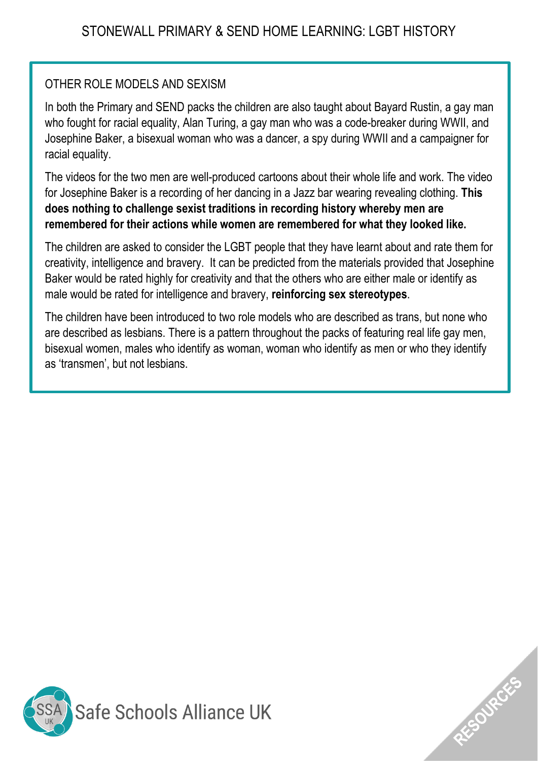## OTHER ROLE MODELS AND SEXISM

In both the Primary and SEND packs the children are also taught about Bayard Rustin, a gay man who fought for racial equality, Alan Turing, a gay man who was a code-breaker during WWII, and Josephine Baker, a bisexual woman who was a dancer, a spy during WWII and a campaigner for racial equality.

The videos for the two men are well-produced cartoons about their whole life and work. The video for Josephine Baker is a recording of her dancing in a Jazz bar wearing revealing clothing. **This does nothing to challenge sexist traditions in recording history whereby men are remembered for their actions while women are remembered for what they looked like.** 

The children are asked to consider the LGBT people that they have learnt about and rate them for creativity, intelligence and bravery. It can be predicted from the materials provided that Josephine Baker would be rated highly for creativity and that the others who are either male or identify as male would be rated for intelligence and bravery, **reinforcing sex stereotypes**.

The children have been introduced to two role models who are described as trans, but none who are described as lesbians. There is a pattern throughout the packs of featuring real life gay men, bisexual women, males who identify as woman, woman who identify as men or who they identify as 'transmen', but not lesbians.



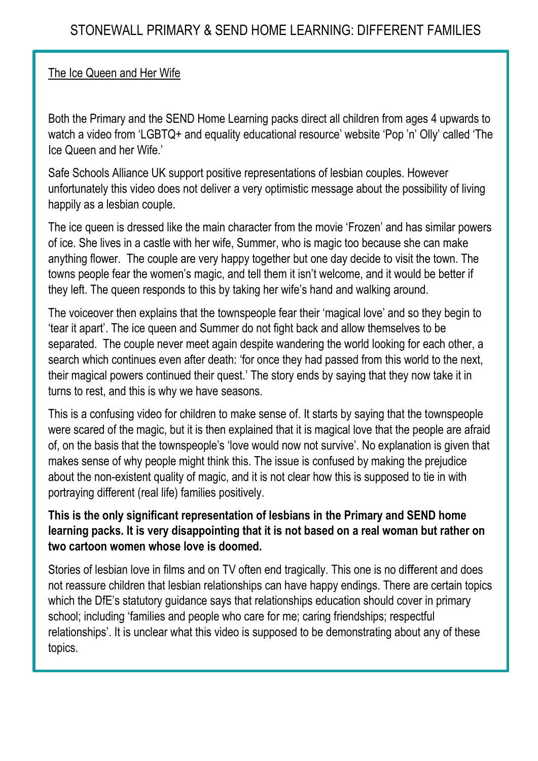#### The Ice Queen and Her Wife

Both the Primary and the SEND Home Learning packs direct all children from ages 4 upwards to watch a video from 'LGBTQ+ and equality educational resource' website 'Pop 'n' Olly' called 'The Ice Queen and her Wife.'

Safe Schools Alliance UK support positive representations of lesbian couples. However unfortunately this video does not deliver a very optimistic message about the possibility of living happily as a lesbian couple.

The ice queen is dressed like the main character from the movie 'Frozen' and has similar powers of ice. She lives in a castle with her wife, Summer, who is magic too because she can make anything flower. The couple are very happy together but one day decide to visit the town. The towns people fear the women's magic, and tell them it isn't welcome, and it would be better if they left. The queen responds to this by taking her wife's hand and walking around.

The voiceover then explains that the townspeople fear their 'magical love' and so they begin to 'tear it apart'. The ice queen and Summer do not fight back and allow themselves to be separated. The couple never meet again despite wandering the world looking for each other, a search which continues even after death: 'for once they had passed from this world to the next, their magical powers continued their quest.' The story ends by saying that they now take it in turns to rest, and this is why we have seasons.

This is a confusing video for children to make sense of. It starts by saying that the townspeople were scared of the magic, but it is then explained that it is magical love that the people are afraid of, on the basis that the townspeople's 'love would now not survive'. No explanation is given that makes sense of why people might think this. The issue is confused by making the prejudice about the non-existent quality of magic, and it is not clear how this is supposed to tie in with portraying different (real life) families positively.

#### **This is the only significant representation of lesbians in the Primary and SEND home learning packs. It is very disappointing that it is not based on a real woman but rather on two cartoon women whose love is doomed.**

Stories of lesbian love in films and on TV often end tragically. This one is no different and does not reassure children that lesbian relationships can have happy endings. There are certain topics which the DfE's statutory guidance says that relationships education should cover in primary school; including 'families and people who care for me; caring friendships; respectful relationships'. It is unclear what this video is supposed to be demonstrating about any of these topics.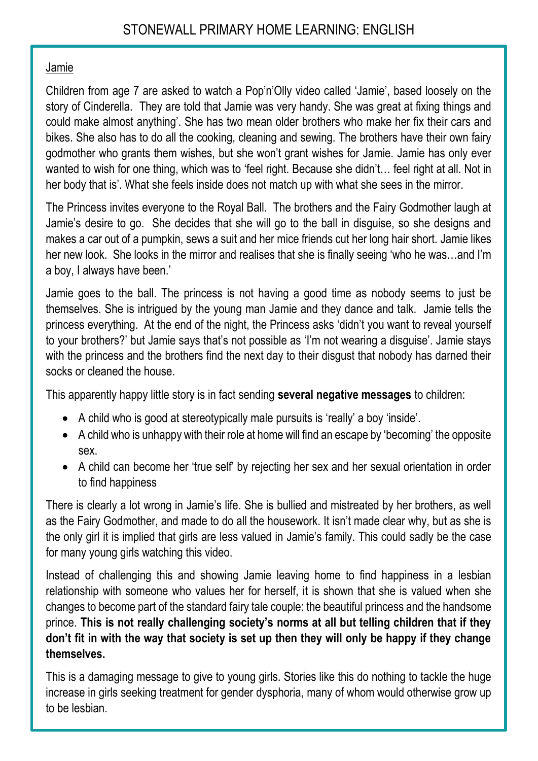#### Jamie

Children from age 7 are asked to watch a Pop'n'Olly video called 'Jamie', based loosely on the story of Cinderella. They are told that Jamie was very handy. She was great at fixing things and could make almost anything'. She has two mean older brothers who make her fix their cars and bikes. She also has to do all the cooking, cleaning and sewing. The brothers have their own fairy godmother who grants them wishes, but she won't grant wishes for Jamie. Jamie has only ever wanted to wish for one thing, which was to 'feel right. Because she didn't… feel right at all. Not in her body that is'. What she feels inside does not match up with what she sees in the mirror.

The Princess invites everyone to the Royal Ball. The brothers and the Fairy Godmother laugh at Jamie's desire to go. She decides that she will go to the ball in disguise, so she designs and makes a car out of a pumpkin, sews a suit and her mice friends cut her long hair short. Jamie likes her new look. She looks in the mirror and realises that she is finally seeing 'who he was…and I'm a boy, I always have been.'

Jamie goes to the ball. The princess is not having a good time as nobody seems to just be themselves. She is intrigued by the young man Jamie and they dance and talk. Jamie tells the princess everything. At the end of the night, the Princess asks 'didn't you want to reveal yourself to your brothers?' but Jamie says that's not possible as 'I'm not wearing a disguise'. Jamie stays with the princess and the brothers find the next day to their disgust that nobody has darned their socks or cleaned the house.

This apparently happy little story is in fact sending **several negative messages** to children:

- A child who is good at stereotypically male pursuits is 'really' a boy 'inside'.
- A child who is unhappy with their role at home will find an escape by 'becoming' the opposite sex.
- A child can become her 'true self' by rejecting her sex and her sexual orientation in order to find happiness

There is clearly a lot wrong in Jamie's life. She is bullied and mistreated by her brothers, as well as the Fairy Godmother, and made to do all the housework. It isn't made clear why, but as she is the only girl it is implied that girls are less valued in Jamie's family. This could sadly be the case for many young girls watching this video.

Instead of challenging this and showing Jamie leaving home to find happiness in a lesbian relationship with someone who values her for herself, it is shown that she is valued when she changes to become part of the standard fairy tale couple: the beautiful princess and the handsome prince. **This is not really challenging society's norms at all but telling children that if they don't fit in with the way that society is set up then they will only be happy if they change themselves.** 

This is a damaging message to give to young girls. Stories like this do nothing to tackle the huge increase in girls seeking treatment for gender dysphoria, many of whom would otherwise grow up to be lesbian.